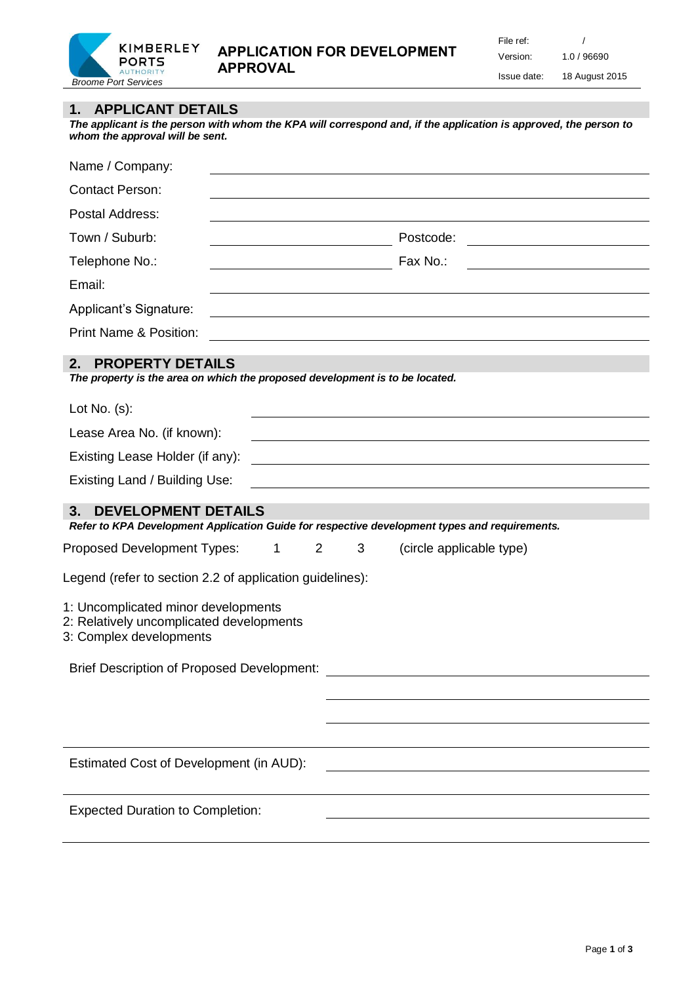

### **1. APPLICANT DETAILS**

*The applicant is the person with whom the KPA will correspond and, if the application is approved, the person to whom the approval will be sent.*

| Name / Company:                                                                                               |                  |                                                                                                                       |  |  |
|---------------------------------------------------------------------------------------------------------------|------------------|-----------------------------------------------------------------------------------------------------------------------|--|--|
| <b>Contact Person:</b>                                                                                        |                  |                                                                                                                       |  |  |
| Postal Address:                                                                                               |                  |                                                                                                                       |  |  |
| Town / Suburb:                                                                                                |                  | Postcode:<br><u> 1989 - Johann Barnett, fransk politik (d. 1989)</u>                                                  |  |  |
| Telephone No.:                                                                                                |                  | Fax No.:                                                                                                              |  |  |
| Email:                                                                                                        |                  |                                                                                                                       |  |  |
| Applicant's Signature:                                                                                        |                  |                                                                                                                       |  |  |
| Print Name & Position:                                                                                        |                  |                                                                                                                       |  |  |
| <b>PROPERTY DETAILS</b><br>2.<br>The property is the area on which the proposed development is to be located. |                  |                                                                                                                       |  |  |
| Lot $No.$ (s):                                                                                                |                  |                                                                                                                       |  |  |
| Lease Area No. (if known):                                                                                    |                  |                                                                                                                       |  |  |
| Existing Lease Holder (if any):                                                                               |                  | <u> 1986 - Johann Stein, fransk kampens og det forskellige og det forskellige og det forskellige og det forskelli</u> |  |  |
| Existing Land / Building Use:                                                                                 |                  |                                                                                                                       |  |  |
| <b>DEVELOPMENT DETAILS</b><br>$3_{-}$                                                                         |                  |                                                                                                                       |  |  |
| Refer to KPA Development Application Guide for respective development types and requirements.                 |                  |                                                                                                                       |  |  |
| Proposed Development Types:<br>$\mathbf{1}$                                                                   | $2^{\circ}$<br>3 | (circle applicable type)                                                                                              |  |  |
| Legend (refer to section 2.2 of application guidelines):                                                      |                  |                                                                                                                       |  |  |
| 1: Uncomplicated minor developments<br>2: Relatively uncomplicated developments<br>3: Complex developments    |                  |                                                                                                                       |  |  |
| <b>Brief Description of Proposed Development:</b>                                                             |                  |                                                                                                                       |  |  |
|                                                                                                               |                  |                                                                                                                       |  |  |
|                                                                                                               |                  |                                                                                                                       |  |  |
|                                                                                                               |                  |                                                                                                                       |  |  |
| Estimated Cost of Development (in AUD):                                                                       |                  |                                                                                                                       |  |  |
|                                                                                                               |                  |                                                                                                                       |  |  |
| <b>Expected Duration to Completion:</b>                                                                       |                  |                                                                                                                       |  |  |
|                                                                                                               |                  |                                                                                                                       |  |  |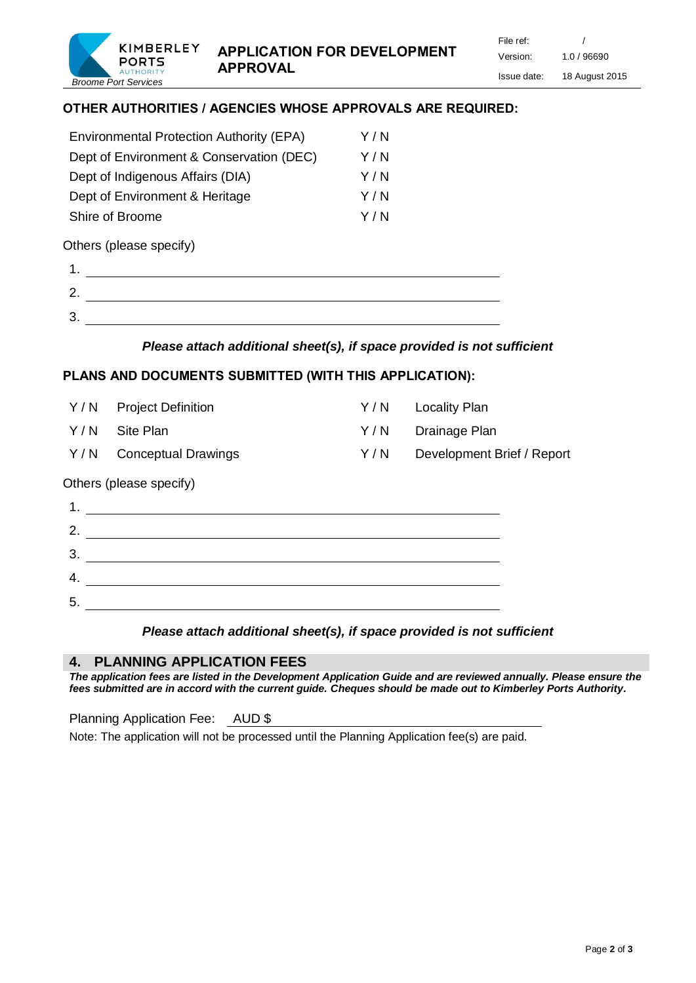File ref: / Version: 1.0 / 96690 Issue date: 18 August 2015

# **OTHER AUTHORITIES / AGENCIES WHOSE APPROVALS ARE REQUIRED:**

| Y / N |  |
|-------|--|
| Y / N |  |
| Y / N |  |
| Y/N   |  |
| Y / N |  |
|       |  |

Others (please specify)

*Broome Port Services*

**KIMBERLEY** 

**PORTS** 

*Please attach additional sheet(s), if space provided is not sufficient*

#### **PLANS AND DOCUMENTS SUBMITTED (WITH THIS APPLICATION):**

| Y/N | <b>Project Definition</b>  | Y/N | <b>Locality Plan</b>       |
|-----|----------------------------|-----|----------------------------|
| Y/N | Site Plan                  | Y/N | Drainage Plan              |
| Y/N | <b>Conceptual Drawings</b> | Y/N | Development Brief / Report |
|     | Others (please specify)    |     |                            |
| 1.  |                            |     |                            |
| 2.  |                            |     |                            |
| 3.  |                            |     |                            |
| 4.  |                            |     |                            |
| 5.  |                            |     |                            |

#### *Please attach additional sheet(s), if space provided is not sufficient*

#### **4. PLANNING APPLICATION FEES**

*The application fees are listed in the Development Application Guide and are reviewed annually. Please ensure the fees submitted are in accord with the current guide. Cheques should be made out to Kimberley Ports Authority.* 

Planning Application Fee: AUD \$ Note: The application will not be processed until the Planning Application fee(s) are paid.